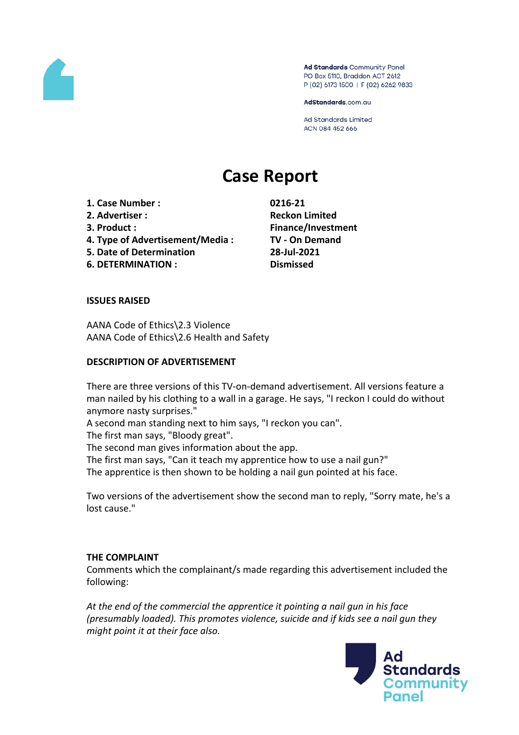

Ad Standards Community Panel PO Box 5110, Braddon ACT 2612 P (02) 6173 1500 | F (02) 6262 9833

AdStandards.com.au

**Ad Standards Limited** ACN 084 452 666

# **Case Report**

- **1. Case Number : 0216-21**
- **2. Advertiser : Reckon Limited**
- 
- **4. Type of Advertisement/Media : TV - On Demand**
- **5. Date of Determination 28-Jul-2021**
- **6. DETERMINATION : Dismissed**

**3. Product : Finance/Investment**

## **ISSUES RAISED**

AANA Code of Ethics\2.3 Violence AANA Code of Ethics\2.6 Health and Safety

## **DESCRIPTION OF ADVERTISEMENT**

There are three versions of this TV-on-demand advertisement. All versions feature a man nailed by his clothing to a wall in a garage. He says, "I reckon I could do without anymore nasty surprises."

A second man standing next to him says, "I reckon you can".

The first man says, "Bloody great".

The second man gives information about the app.

The first man says, "Can it teach my apprentice how to use a nail gun?" The apprentice is then shown to be holding a nail gun pointed at his face.

Two versions of the advertisement show the second man to reply, "Sorry mate, he's a lost cause."

## **THE COMPLAINT**

Comments which the complainant/s made regarding this advertisement included the following:

*At the end of the commercial the apprentice it pointing a nail gun in his face (presumably loaded). This promotes violence, suicide and if kids see a nail gun they might point it at their face also.*

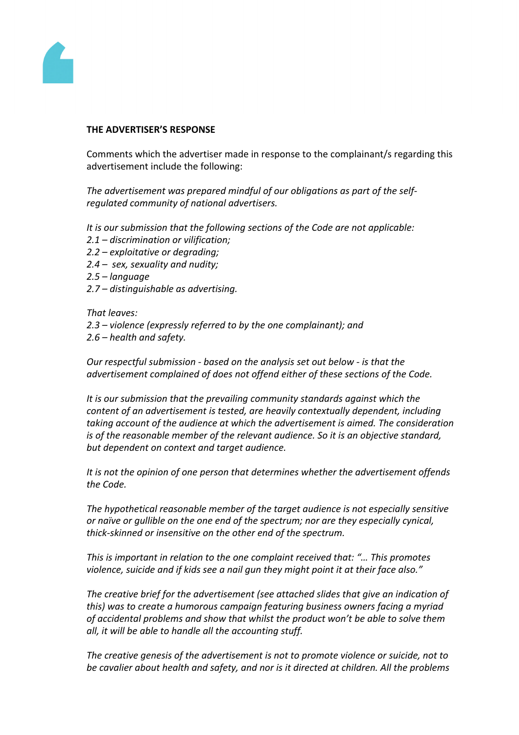

#### **THE ADVERTISER'S RESPONSE**

Comments which the advertiser made in response to the complainant/s regarding this advertisement include the following:

*The advertisement was prepared mindful of our obligations as part of the selfregulated community of national advertisers.*

*It is our submission that the following sections of the Code are not applicable:*

- *2.1 – discrimination or vilification;*
- *2.2 – exploitative or degrading;*
- *2.4 sex, sexuality and nudity;*
- *2.5 – language*
- *2.7 – distinguishable as advertising.*

*That leaves:*

- *2.3 – violence (expressly referred to by the one complainant); and*
- *2.6 – health and safety.*

*Our respectful submission - based on the analysis set out below - is that the advertisement complained of does not offend either of these sections of the Code.*

*It is our submission that the prevailing community standards against which the content of an advertisement is tested, are heavily contextually dependent, including taking account of the audience at which the advertisement is aimed. The consideration is of the reasonable member of the relevant audience. So it is an objective standard, but dependent on context and target audience.*

*It is not the opinion of one person that determines whether the advertisement offends the Code.*

*The hypothetical reasonable member of the target audience is not especially sensitive or naïve or gullible on the one end of the spectrum; nor are they especially cynical, thick-skinned or insensitive on the other end of the spectrum.*

*This is important in relation to the one complaint received that: "… This promotes violence, suicide and if kids see a nail gun they might point it at their face also."*

*The creative brief for the advertisement (see attached slides that give an indication of this) was to create a humorous campaign featuring business owners facing a myriad of accidental problems and show that whilst the product won't be able to solve them all, it will be able to handle all the accounting stuff.*

*The creative genesis of the advertisement is not to promote violence or suicide, not to be cavalier about health and safety, and nor is it directed at children. All the problems*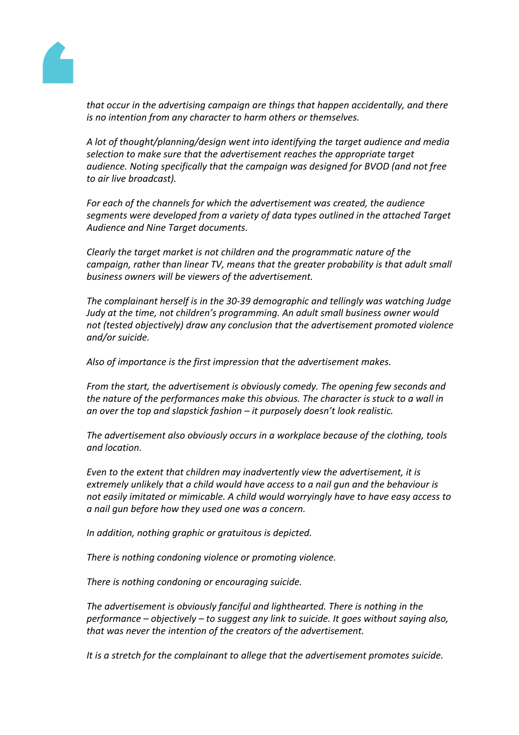

*that occur in the advertising campaign are things that happen accidentally, and there is no intention from any character to harm others or themselves.*

*A lot of thought/planning/design went into identifying the target audience and media selection to make sure that the advertisement reaches the appropriate target audience. Noting specifically that the campaign was designed for BVOD (and not free to air live broadcast).*

*For each of the channels for which the advertisement was created, the audience segments were developed from a variety of data types outlined in the attached Target Audience and Nine Target documents.*

*Clearly the target market is not children and the programmatic nature of the campaign, rather than linear TV, means that the greater probability is that adult small business owners will be viewers of the advertisement.*

*The complainant herself is in the 30-39 demographic and tellingly was watching Judge Judy at the time, not children's programming. An adult small business owner would not (tested objectively) draw any conclusion that the advertisement promoted violence and/or suicide.*

*Also of importance is the first impression that the advertisement makes.*

*From the start, the advertisement is obviously comedy. The opening few seconds and the nature of the performances make this obvious. The character is stuck to a wall in an over the top and slapstick fashion – it purposely doesn't look realistic.*

*The advertisement also obviously occurs in a workplace because of the clothing, tools and location.*

*Even to the extent that children may inadvertently view the advertisement, it is extremely unlikely that a child would have access to a nail gun and the behaviour is not easily imitated or mimicable. A child would worryingly have to have easy access to a nail gun before how they used one was a concern.*

*In addition, nothing graphic or gratuitous is depicted.*

*There is nothing condoning violence or promoting violence.*

*There is nothing condoning or encouraging suicide.*

*The advertisement is obviously fanciful and lighthearted. There is nothing in the performance – objectively – to suggest any link to suicide. It goes without saying also, that was never the intention of the creators of the advertisement.*

*It is a stretch for the complainant to allege that the advertisement promotes suicide.*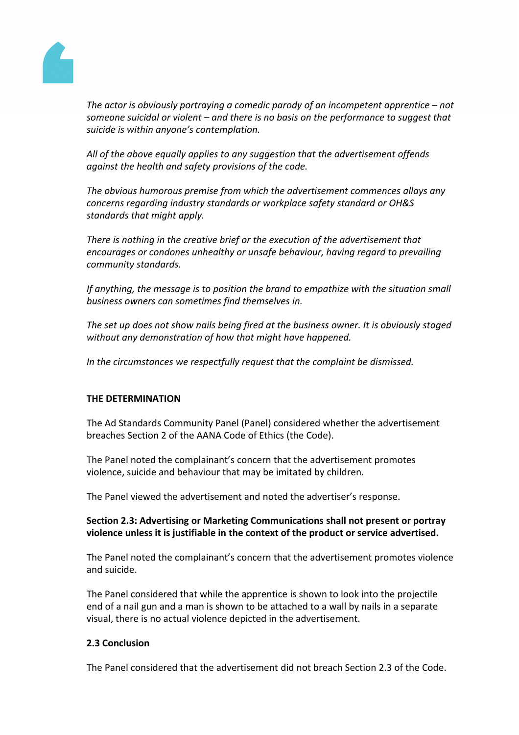

*The actor is obviously portraying a comedic parody of an incompetent apprentice – not someone suicidal or violent – and there is no basis on the performance to suggest that suicide is within anyone's contemplation.*

*All of the above equally applies to any suggestion that the advertisement offends against the health and safety provisions of the code.*

*The obvious humorous premise from which the advertisement commences allays any concerns regarding industry standards or workplace safety standard or OH&S standards that might apply.*

*There is nothing in the creative brief or the execution of the advertisement that encourages or condones unhealthy or unsafe behaviour, having regard to prevailing community standards.*

*If anything, the message is to position the brand to empathize with the situation small business owners can sometimes find themselves in.*

*The set up does not show nails being fired at the business owner. It is obviously staged without any demonstration of how that might have happened.*

*In the circumstances we respectfully request that the complaint be dismissed.*

# **THE DETERMINATION**

The Ad Standards Community Panel (Panel) considered whether the advertisement breaches Section 2 of the AANA Code of Ethics (the Code).

The Panel noted the complainant's concern that the advertisement promotes violence, suicide and behaviour that may be imitated by children.

The Panel viewed the advertisement and noted the advertiser's response.

## **Section 2.3: Advertising or Marketing Communications shall not present or portray violence unless it is justifiable in the context of the product or service advertised.**

The Panel noted the complainant's concern that the advertisement promotes violence and suicide.

The Panel considered that while the apprentice is shown to look into the projectile end of a nail gun and a man is shown to be attached to a wall by nails in a separate visual, there is no actual violence depicted in the advertisement.

## **2.3 Conclusion**

The Panel considered that the advertisement did not breach Section 2.3 of the Code.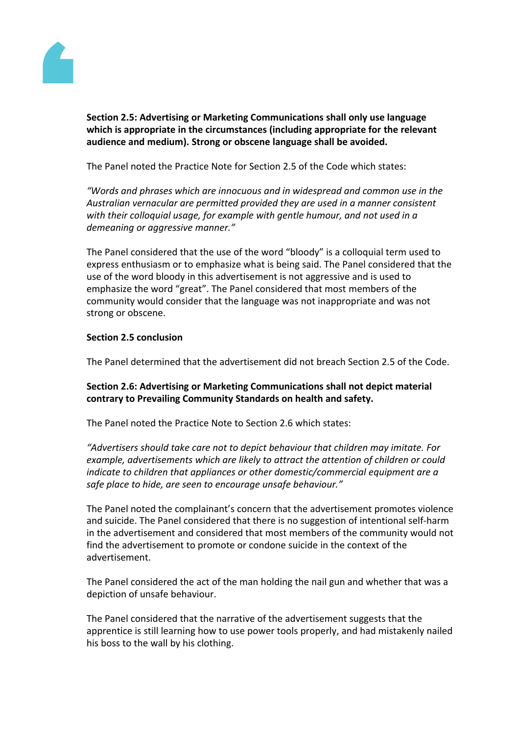

**Section 2.5: Advertising or Marketing Communications shall only use language which is appropriate in the circumstances (including appropriate for the relevant audience and medium). Strong or obscene language shall be avoided.**

The Panel noted the Practice Note for Section 2.5 of the Code which states:

*"Words and phrases which are innocuous and in widespread and common use in the Australian vernacular are permitted provided they are used in a manner consistent with their colloquial usage, for example with gentle humour, and not used in a demeaning or aggressive manner."*

The Panel considered that the use of the word "bloody" is a colloquial term used to express enthusiasm or to emphasize what is being said. The Panel considered that the use of the word bloody in this advertisement is not aggressive and is used to emphasize the word "great". The Panel considered that most members of the community would consider that the language was not inappropriate and was not strong or obscene.

## **Section 2.5 conclusion**

The Panel determined that the advertisement did not breach Section 2.5 of the Code.

## **Section 2.6: Advertising or Marketing Communications shall not depict material contrary to Prevailing Community Standards on health and safety.**

The Panel noted the Practice Note to Section 2.6 which states:

*"Advertisers should take care not to depict behaviour that children may imitate. For example, advertisements which are likely to attract the attention of children or could indicate to children that appliances or other domestic/commercial equipment are a safe place to hide, are seen to encourage unsafe behaviour."*

The Panel noted the complainant's concern that the advertisement promotes violence and suicide. The Panel considered that there is no suggestion of intentional self-harm in the advertisement and considered that most members of the community would not find the advertisement to promote or condone suicide in the context of the advertisement.

The Panel considered the act of the man holding the nail gun and whether that was a depiction of unsafe behaviour.

The Panel considered that the narrative of the advertisement suggests that the apprentice is still learning how to use power tools properly, and had mistakenly nailed his boss to the wall by his clothing.